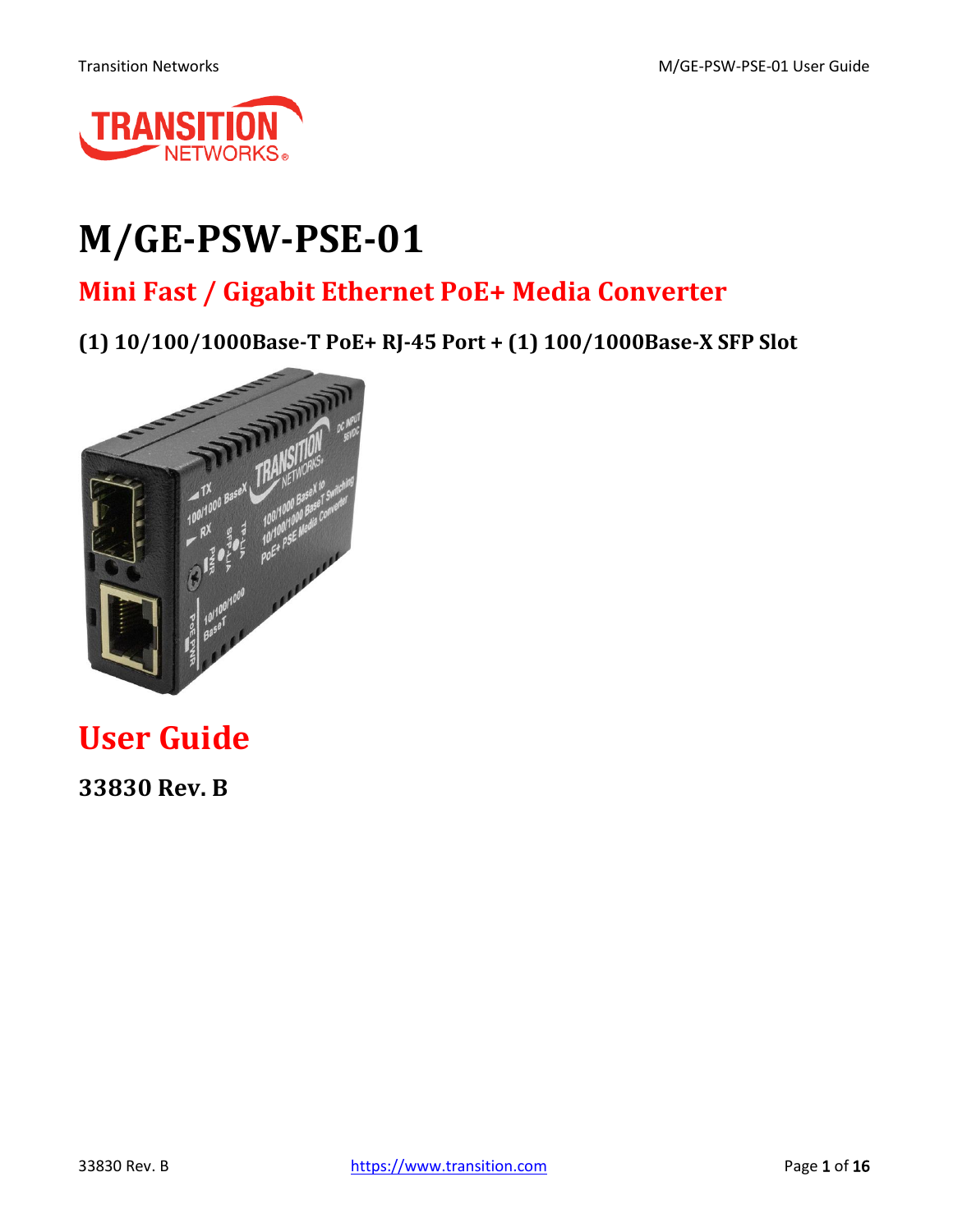

# **M/GE-PSW-PSE-01**

## **Mini Fast / Gigabit Ethernet PoE+ Media Converter**

**(1) 10/100/1000Base-T PoE+ RJ-45 Port + (1) 100/1000Base-X SFP Slot**



# **User Guide**

**33830 Rev. B**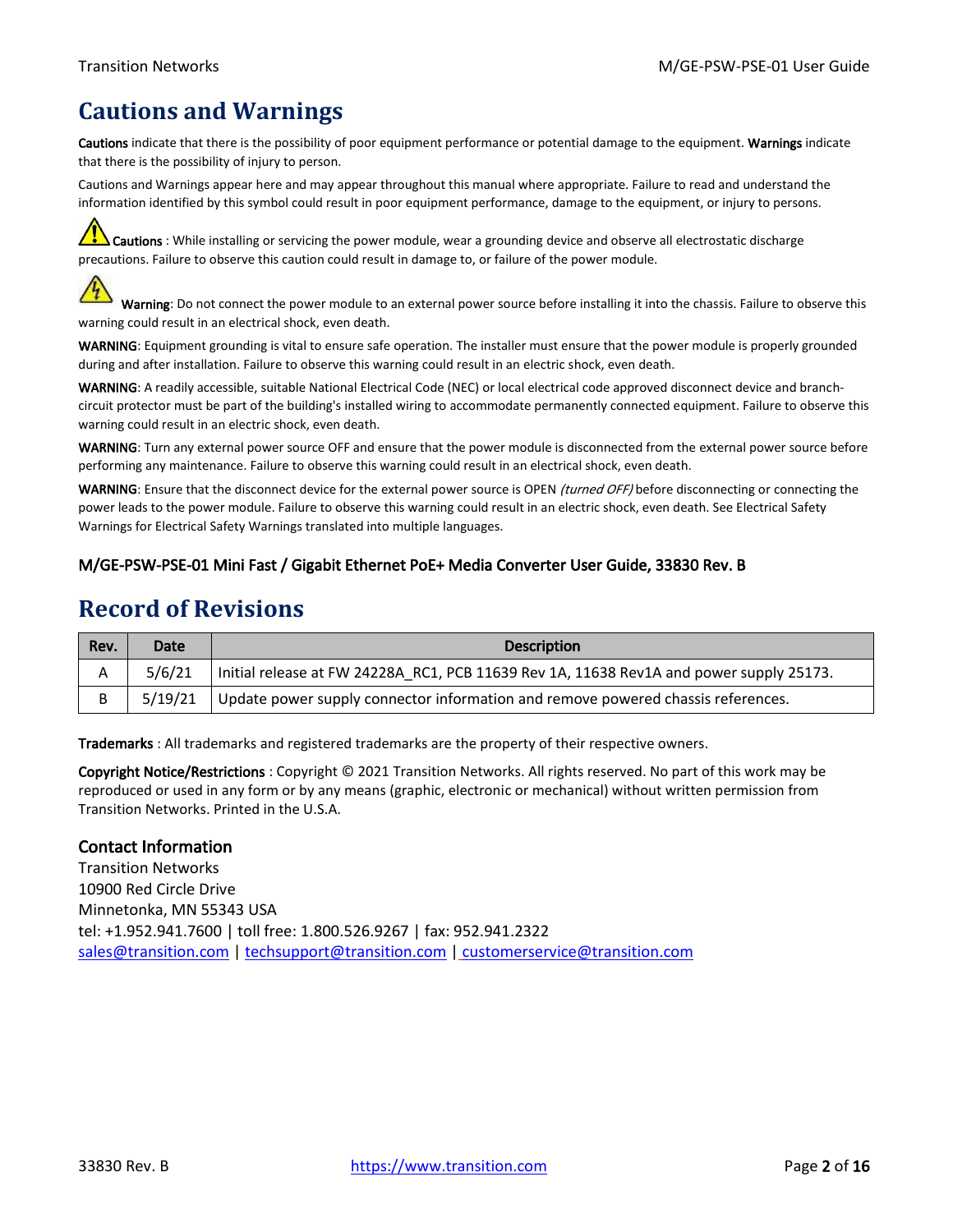## <span id="page-1-0"></span>**Cautions and Warnings**

Cautions indicate that there is the possibility of poor equipment performance or potential damage to the equipment. Warnings indicate that there is the possibility of injury to person.

Cautions and Warnings appear here and may appear throughout this manual where appropriate. Failure to read and understand the information identified by this symbol could result in poor equipment performance, damage to the equipment, or injury to persons.

Cautions : While installing or servicing the power module, wear a grounding device and observe all electrostatic discharge precautions. Failure to observe this caution could result in damage to, or failure of the power module.

Warning: Do not connect the power module to an external power source before installing it into the chassis. Failure to observe this warning could result in an electrical shock, even death.

WARNING: Equipment grounding is vital to ensure safe operation. The installer must ensure that the power module is properly grounded during and after installation. Failure to observe this warning could result in an electric shock, even death.

WARNING: A readily accessible, suitable National Electrical Code (NEC) or local electrical code approved disconnect device and branchcircuit protector must be part of the building's installed wiring to accommodate permanently connected equipment. Failure to observe this warning could result in an electric shock, even death.

WARNING: Turn any external power source OFF and ensure that the power module is disconnected from the external power source before performing any maintenance. Failure to observe this warning could result in an electrical shock, even death.

WARNING: Ensure that the disconnect device for the external power source is OPEN (turned OFF) before disconnecting or connecting the power leads to the power module. Failure to observe this warning could result in an electric shock, even death. See Electrical Safety Warnings for Electrical Safety Warnings translated into multiple languages.

#### <span id="page-1-1"></span>M/GE-PSW-PSE-01 Mini Fast / Gigabit Ethernet PoE+ Media Converter User Guide, 33830 Rev. B

## **Record of Revisions**

| Rev. | Date    | <b>Description</b>                                                                      |
|------|---------|-----------------------------------------------------------------------------------------|
| A    | 5/6/21  | Initial release at FW 24228A RC1, PCB 11639 Rev 1A, 11638 Rev1A and power supply 25173. |
| B    | 5/19/21 | Update power supply connector information and remove powered chassis references.        |

Trademarks : All trademarks and registered trademarks are the property of their respective owners.

Copyright Notice/Restrictions : Copyright © 2021 Transition Networks. All rights reserved. No part of this work may be reproduced or used in any form or by any means (graphic, electronic or mechanical) without written permission from Transition Networks. Printed in the U.S.A.

#### Contact Information

Transition Networks 10900 Red Circle Drive Minnetonka, MN 55343 USA tel: +1.952.941.7600 | toll free: 1.800.526.9267 | fax: 952.941.2322 [sales@transition.com](mailto:sales@transition.com) | [techsupport@transition.com](mailto:techsupport@transition.com) | [customerservice@transition.com](mailto:customerservice@transition.com)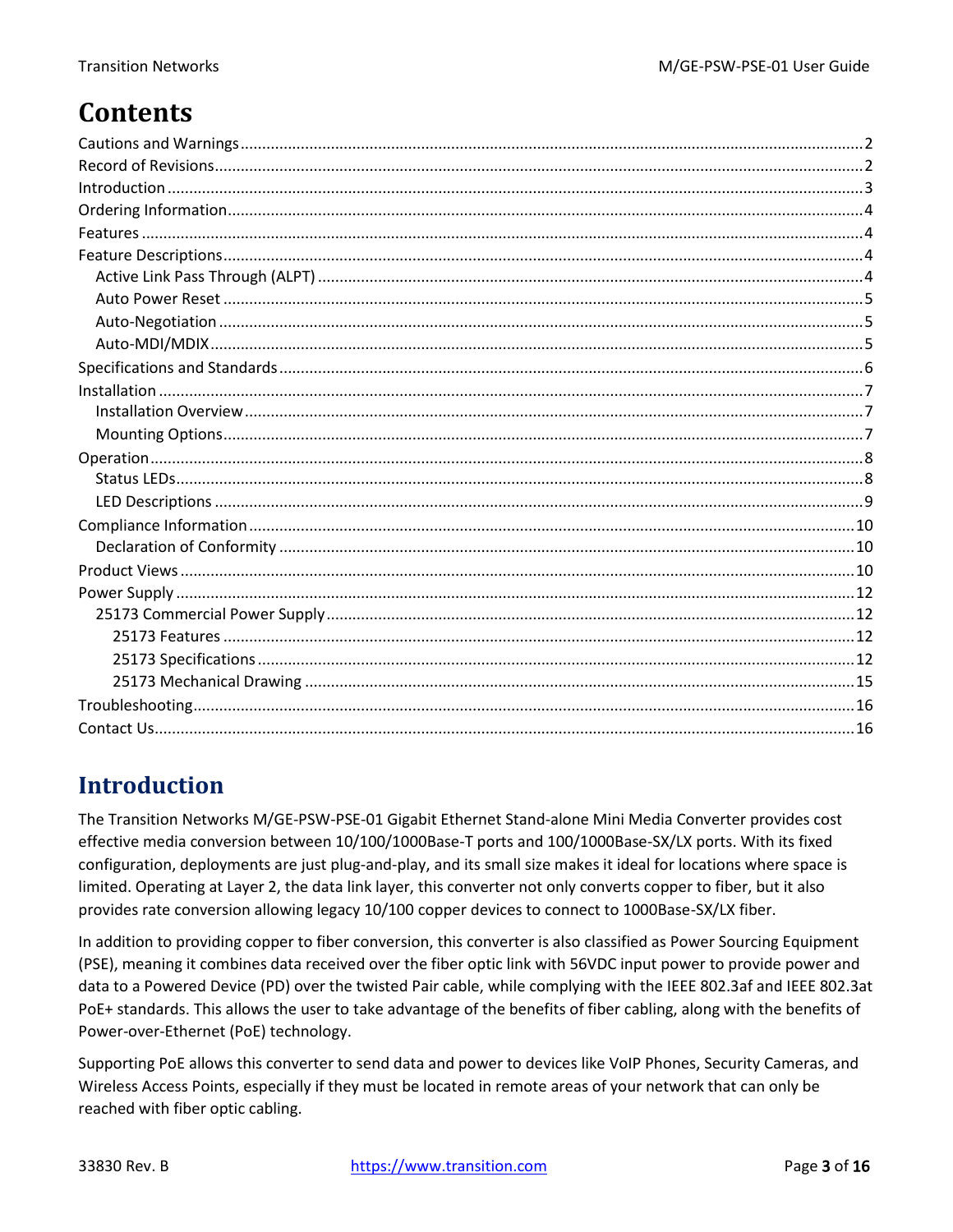# **Contents**

## <span id="page-2-0"></span>**Introduction**

The Transition Networks M/GE-PSW-PSE-01 Gigabit Ethernet Stand-alone Mini Media Converter provides cost effective media conversion between 10/100/1000Base-T ports and 100/1000Base-SX/LX ports. With its fixed configuration, deployments are just plug-and-play, and its small size makes it ideal for locations where space is limited. Operating at Layer 2, the data link layer, this converter not only converts copper to fiber, but it also provides rate conversion allowing legacy 10/100 copper devices to connect to 1000Base-SX/LX fiber.

In addition to providing copper to fiber conversion, this converter is also classified as Power Sourcing Equipment (PSE), meaning it combines data received over the fiber optic link with 56VDC input power to provide power and data to a Powered Device (PD) over the twisted Pair cable, while complying with the IEEE 802.3af and IEEE 802.3at PoE+ standards. This allows the user to take advantage of the benefits of fiber cabling, along with the benefits of Power-over-Ethernet (PoE) technology.

Supporting PoE allows this converter to send data and power to devices like VoIP Phones, Security Cameras, and Wireless Access Points, especially if they must be located in remote areas of your network that can only be reached with fiber optic cabling.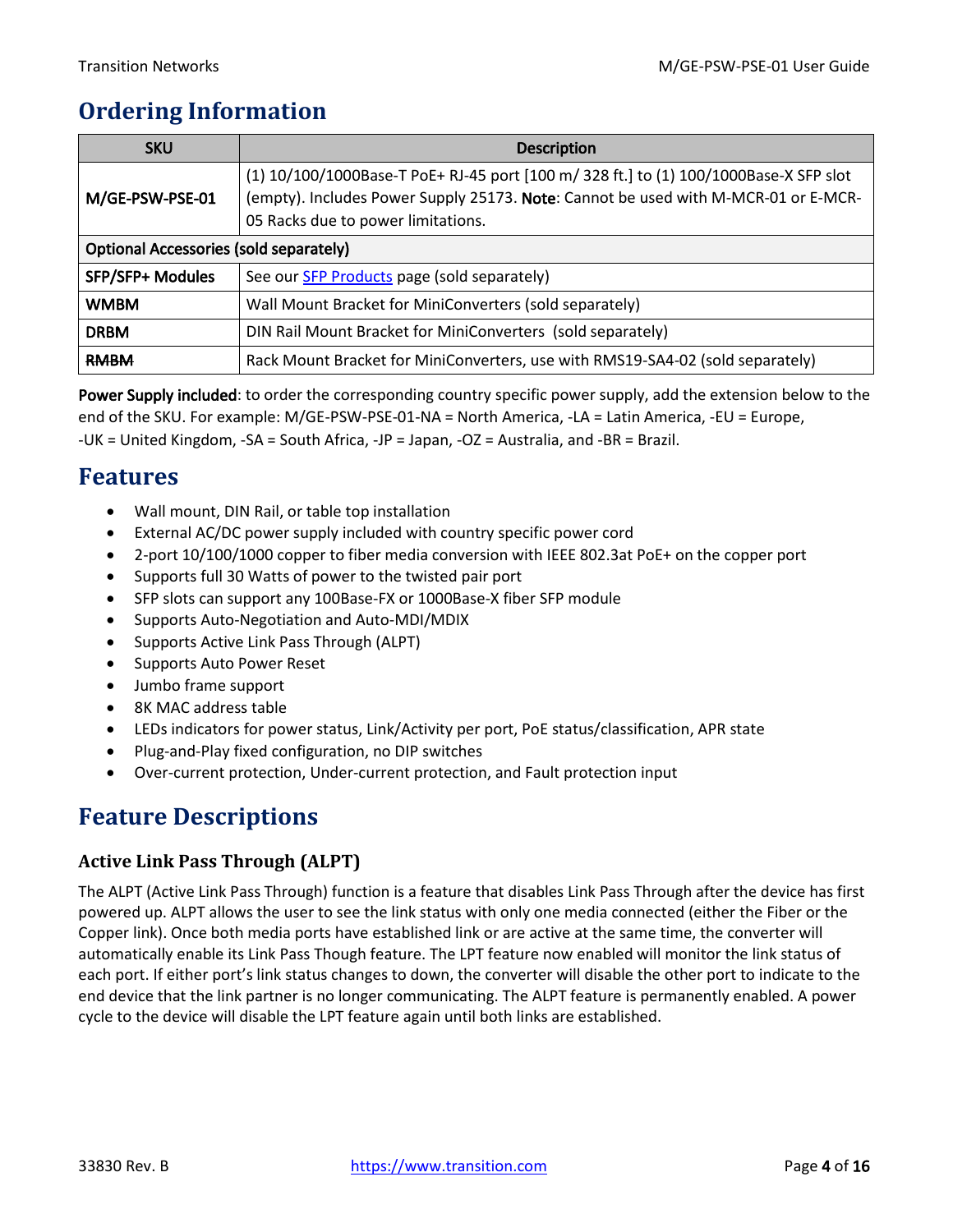## <span id="page-3-0"></span>**Ordering Information**

| <b>SKU</b>                                                                             | <b>Description</b>                                                                                                                                                                                                |  |  |  |  |
|----------------------------------------------------------------------------------------|-------------------------------------------------------------------------------------------------------------------------------------------------------------------------------------------------------------------|--|--|--|--|
| M/GE-PSW-PSE-01                                                                        | (1) 10/100/1000Base-T PoE+ RJ-45 port [100 m/ 328 ft.] to (1) 100/1000Base-X SFP slot<br>(empty). Includes Power Supply 25173. Note: Cannot be used with M-MCR-01 or E-MCR-<br>05 Racks due to power limitations. |  |  |  |  |
|                                                                                        | <b>Optional Accessories (sold separately)</b>                                                                                                                                                                     |  |  |  |  |
| SFP/SFP+ Modules<br>See our <b>SFP Products</b> page (sold separately)                 |                                                                                                                                                                                                                   |  |  |  |  |
| <b>WMBM</b><br>Wall Mount Bracket for MiniConverters (sold separately)                 |                                                                                                                                                                                                                   |  |  |  |  |
| <b>DRBM</b><br>DIN Rail Mount Bracket for MiniConverters (sold separately)             |                                                                                                                                                                                                                   |  |  |  |  |
| RMRM<br>Rack Mount Bracket for MiniConverters, use with RMS19-SA4-02 (sold separately) |                                                                                                                                                                                                                   |  |  |  |  |

<span id="page-3-5"></span>Power Supply included: to order the corresponding country specific power supply, add the extension below to the end of the SKU. For example: M/GE-PSW-PSE-01-NA = North America, -LA = Latin America, -EU = Europe, -UK = United Kingdom, -SA = South Africa, -JP = Japan, -OZ = Australia, and -BR = Brazil.

## <span id="page-3-1"></span>**Features**

- Wall mount, DIN Rail, or table top installation
- External AC/DC power supply included with country specific power cord
- 2-port 10/100/1000 copper to fiber media conversion with IEEE 802.3at PoE+ on the copper port
- Supports full 30 Watts of power to the twisted pair port
- SFP slots can support any 100Base-FX or 1000Base-X fiber SFP module
- Supports Auto-Negotiation and Auto-MDI/MDIX
- Supports Active Link Pass Through (ALPT)
- Supports Auto Power Reset
- Jumbo frame support
- 8K MAC address table
- LEDs indicators for power status, Link/Activity per port, PoE status/classification, APR state
- Plug-and-Play fixed configuration, no DIP switches
- Over-current protection, Under-current protection, and Fault protection input

## <span id="page-3-2"></span>**Feature Descriptions**

## <span id="page-3-3"></span>**Active Link Pass Through (ALPT)**

<span id="page-3-4"></span>The ALPT (Active Link Pass Through) function is a feature that disables Link Pass Through after the device has first powered up. ALPT allows the user to see the link status with only one media connected (either the Fiber or the Copper link). Once both media ports have established link or are active at the same time, the converter will automatically enable its Link Pass Though feature. The LPT feature now enabled will monitor the link status of each port. If either port's link status changes to down, the converter will disable the other port to indicate to the end device that the link partner is no longer communicating. The ALPT feature is permanently enabled. A power cycle to the device will disable the LPT feature again until both links are established.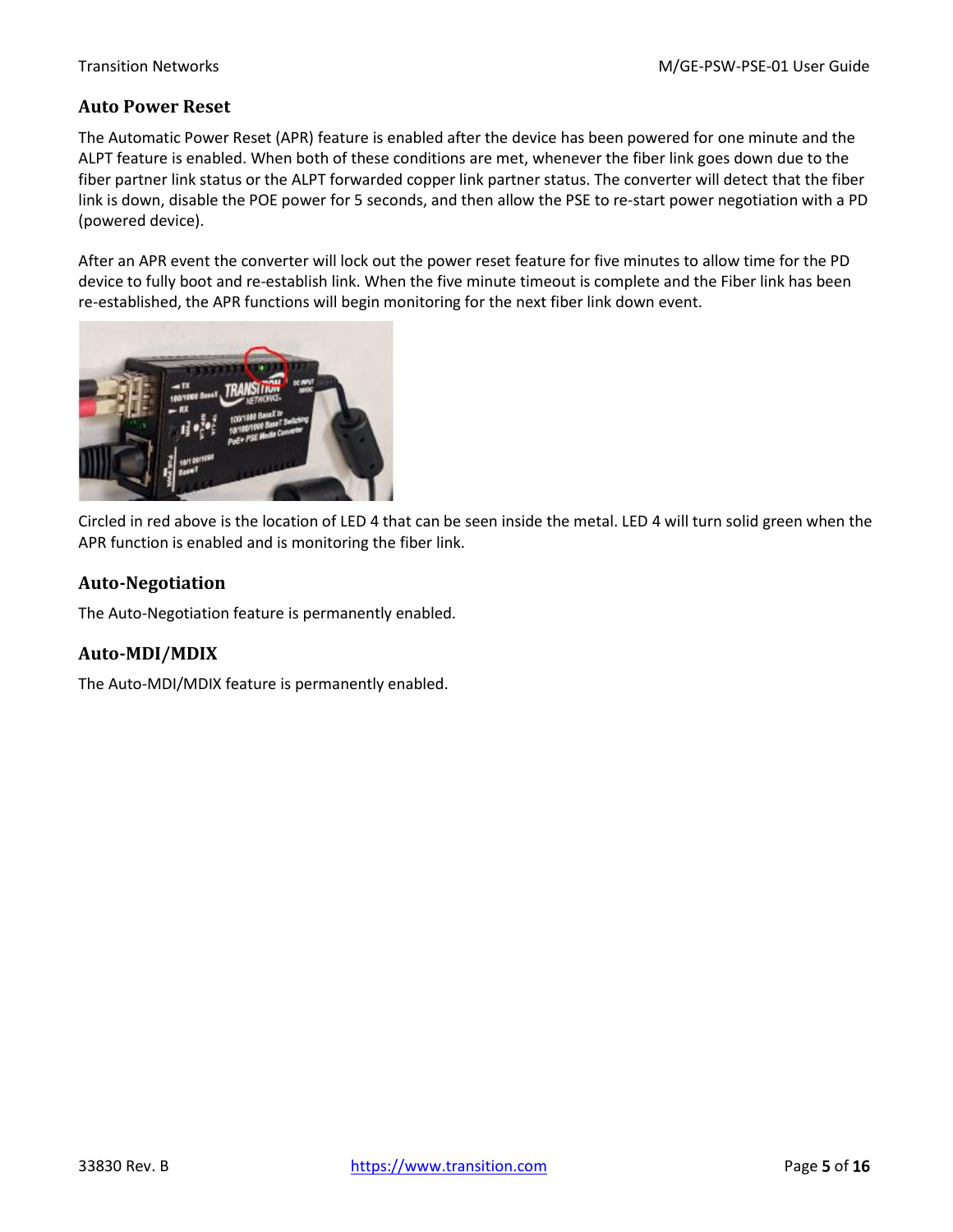## **Auto Power Reset**

The Automatic Power Reset (APR) feature is enabled after the device has been powered for one minute and the ALPT feature is enabled. When both of these conditions are met, whenever the fiber link goes down due to the fiber partner link status or the ALPT forwarded copper link partner status. The converter will detect that the fiber link is down, disable the POE power for 5 seconds, and then allow the PSE to re-start power negotiation with a PD (powered device).

After an APR event the converter will lock out the power reset feature for five minutes to allow time for the PD device to fully boot and re-establish link. When the five minute timeout is complete and the Fiber link has been re-established, the APR functions will begin monitoring for the next fiber link down event.



Circled in red above is the location of LED 4 that can be seen inside the metal. LED 4 will turn solid green when the APR function is enabled and is monitoring the fiber link.

### <span id="page-4-0"></span>**Auto-Negotiation**

The Auto-Negotiation feature is permanently enabled.

## <span id="page-4-1"></span>**Auto-MDI/MDIX**

<span id="page-4-2"></span>The Auto-MDI/MDIX feature is permanently enabled.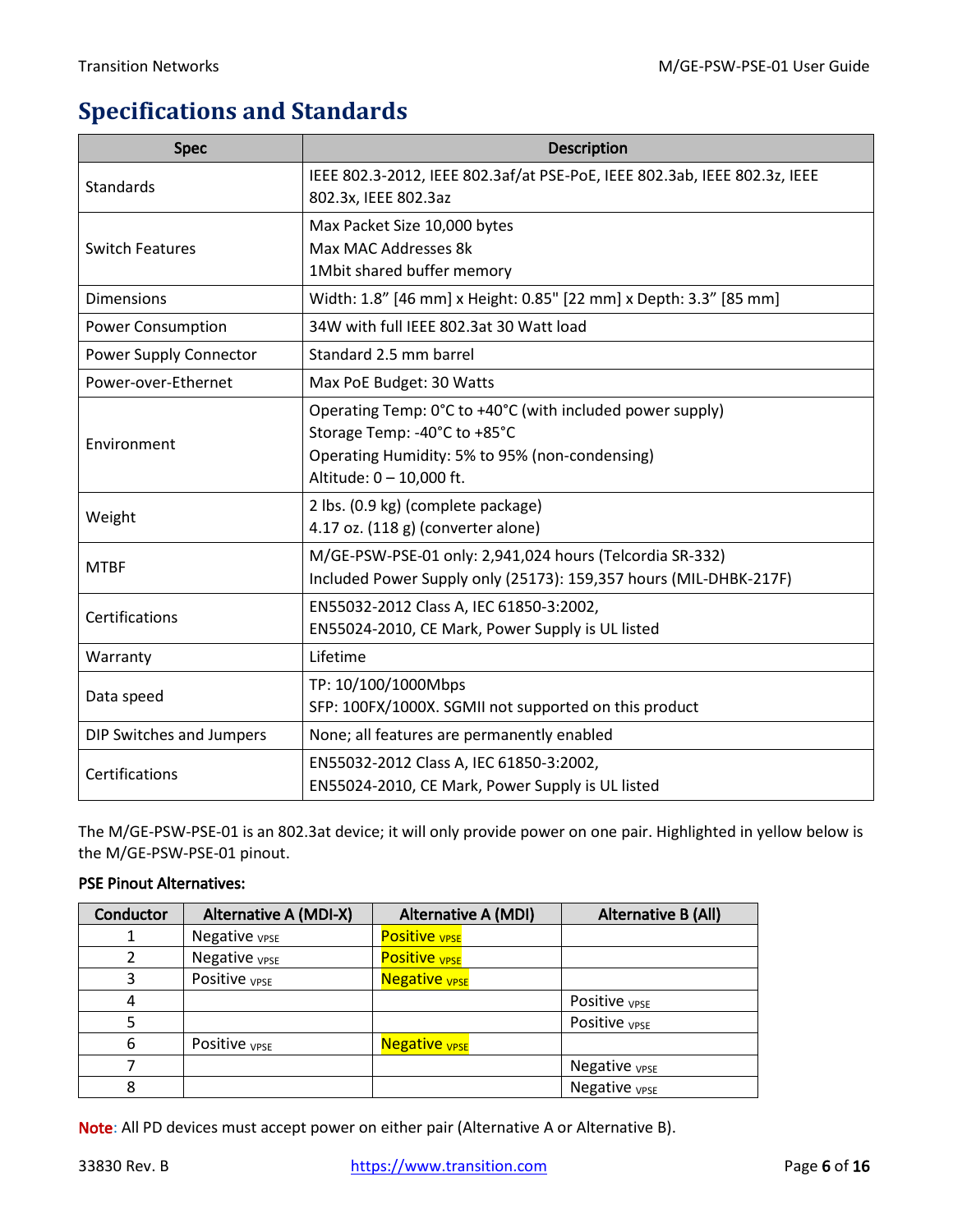## **Specifications and Standards**

| <b>Spec</b>              | <b>Description</b>                                                                                                                                                      |  |  |  |  |
|--------------------------|-------------------------------------------------------------------------------------------------------------------------------------------------------------------------|--|--|--|--|
| Standards                | IEEE 802.3-2012, IEEE 802.3af/at PSE-PoE, IEEE 802.3ab, IEEE 802.3z, IEEE<br>802.3x, IEEE 802.3az                                                                       |  |  |  |  |
| <b>Switch Features</b>   | Max Packet Size 10,000 bytes<br>Max MAC Addresses 8k<br>1Mbit shared buffer memory                                                                                      |  |  |  |  |
| <b>Dimensions</b>        | Width: 1.8" [46 mm] x Height: 0.85" [22 mm] x Depth: 3.3" [85 mm]                                                                                                       |  |  |  |  |
| <b>Power Consumption</b> | 34W with full IEEE 802.3at 30 Watt load                                                                                                                                 |  |  |  |  |
| Power Supply Connector   | Standard 2.5 mm barrel                                                                                                                                                  |  |  |  |  |
| Power-over-Ethernet      | Max PoE Budget: 30 Watts                                                                                                                                                |  |  |  |  |
| Environment              | Operating Temp: 0°C to +40°C (with included power supply)<br>Storage Temp: -40°C to +85°C<br>Operating Humidity: 5% to 95% (non-condensing)<br>Altitude: 0 - 10,000 ft. |  |  |  |  |
| Weight                   | 2 lbs. (0.9 kg) (complete package)<br>4.17 oz. (118 g) (converter alone)                                                                                                |  |  |  |  |
| <b>MTBF</b>              | M/GE-PSW-PSE-01 only: 2,941,024 hours (Telcordia SR-332)<br>Included Power Supply only (25173): 159,357 hours (MIL-DHBK-217F)                                           |  |  |  |  |
| Certifications           | EN55032-2012 Class A, IEC 61850-3:2002,<br>EN55024-2010, CE Mark, Power Supply is UL listed                                                                             |  |  |  |  |
| Warranty                 | Lifetime                                                                                                                                                                |  |  |  |  |
| Data speed               | TP: 10/100/1000Mbps<br>SFP: 100FX/1000X. SGMII not supported on this product                                                                                            |  |  |  |  |
| DIP Switches and Jumpers | None; all features are permanently enabled                                                                                                                              |  |  |  |  |
| Certifications           | EN55032-2012 Class A, IEC 61850-3:2002,<br>EN55024-2010, CE Mark, Power Supply is UL listed                                                                             |  |  |  |  |

The M/GE-PSW-PSE-01 is an 802.3at device; it will only provide power on one pair. Highlighted in yellow below is the M/GE-PSW-PSE-01 pinout.

## PSE Pinout Alternatives:

| Conductor | <b>Alternative A (MDI-X)</b> | <b>Alternative A (MDI)</b>      | <b>Alternative B (All)</b> |
|-----------|------------------------------|---------------------------------|----------------------------|
|           | Negative <sub>VPSE</sub>     | <b>Positive VPSE</b>            |                            |
|           | Negative <sub>VPSE</sub>     | <b>Positive</b> VPSE            |                            |
| 3         | Positive <sub>VPSE</sub>     | <b>Negative</b> <sub>VPSE</sub> |                            |
| 4         |                              |                                 | Positive <sub>VPSE</sub>   |
|           |                              |                                 | Positive <sub>VPSE</sub>   |
| 6         | Positive <sub>VPSE</sub>     | <b>Negative</b> <sub>VPSE</sub> |                            |
|           |                              |                                 | Negative <sub>VPSE</sub>   |
| 8         |                              |                                 | Negative <sub>VPSE</sub>   |

Note: All PD devices must accept power on either pair (Alternative A or Alternative B).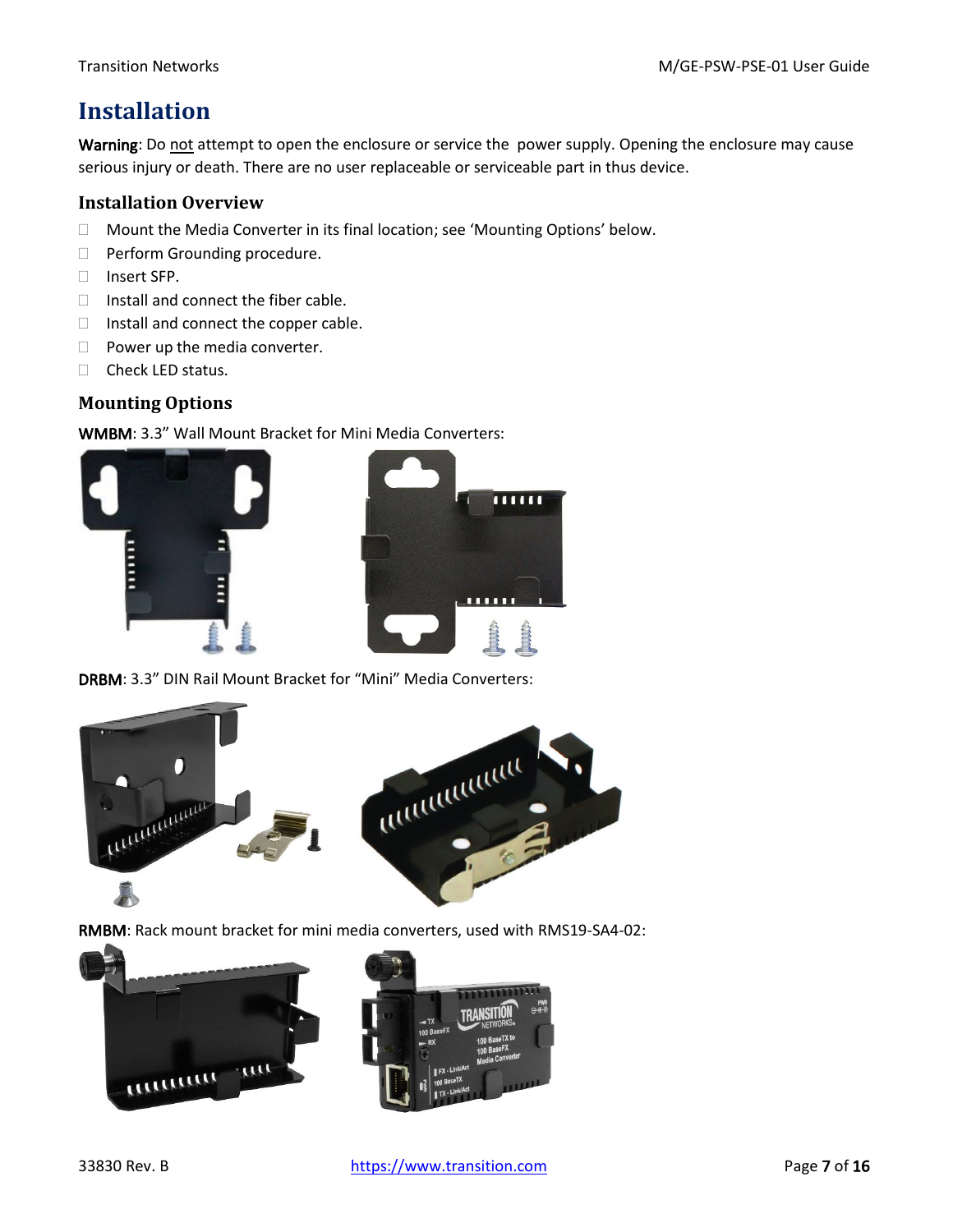## <span id="page-6-0"></span>**Installation**

Warning: Do not attempt to open the enclosure or service the power supply. Opening the enclosure may cause serious injury or death. There are no user replaceable or serviceable part in thus device.

#### <span id="page-6-1"></span>**Installation Overview**

- Mount the Media Converter in its final location; see 'Mounting Options' below.
- D Perform Grounding procedure.
- Insert SFP.
- $\Box$  Install and connect the fiber cable.
- $\Box$  Install and connect the copper cable.
- $\Box$  Power up the media converter.
- □ Check LED status.

## <span id="page-6-2"></span>**Mounting Options**

WMBM: 3.3" Wall Mount Bracket for Mini Media Converters:



DRBM: 3.3" DIN Rail Mount Bracket for "Mini" Media Converters:



RMBM: Rack mount bracket for mini media converters, used with RMS19-SA4-02:

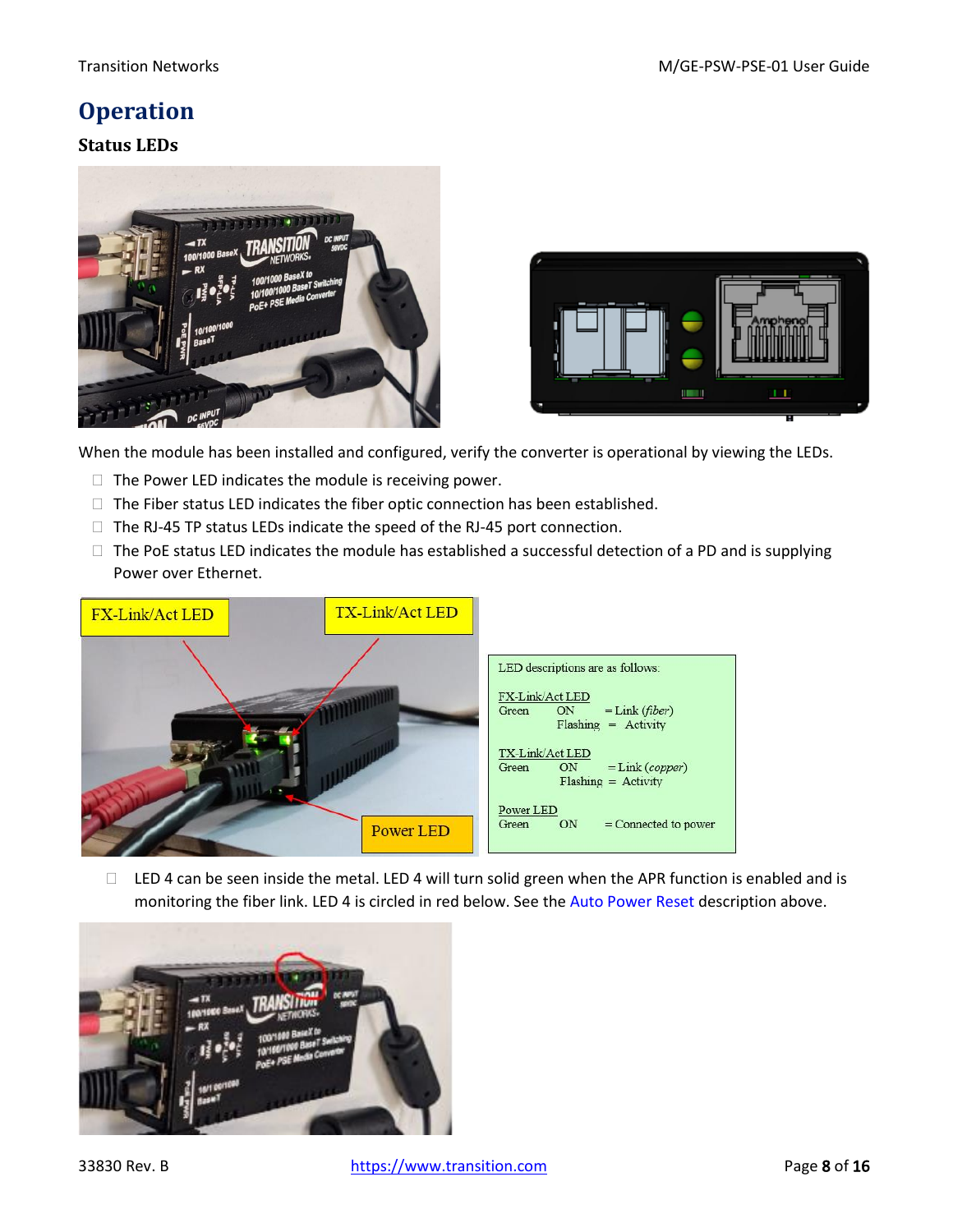## <span id="page-7-0"></span>**Operation**

## <span id="page-7-1"></span>**Status LEDs**





When the module has been installed and configured, verify the converter is operational by viewing the LEDs.

- $\Box$  The Power LED indicates the module is receiving power.
- $\Box$  The Fiber status LED indicates the fiber optic connection has been established.
- $\Box$  The RJ-45 TP status LEDs indicate the speed of the RJ-45 port connection.
- $\Box$  The PoE status LED indicates the module has established a successful detection of a PD and is supplying Power over Ethernet.



 $\Box$  LED 4 can be seen inside the metal. LED 4 will turn solid green when the APR function is enabled and is monitoring the fiber link. LED 4 is circled in red below. See the Auto Power Reset description above.

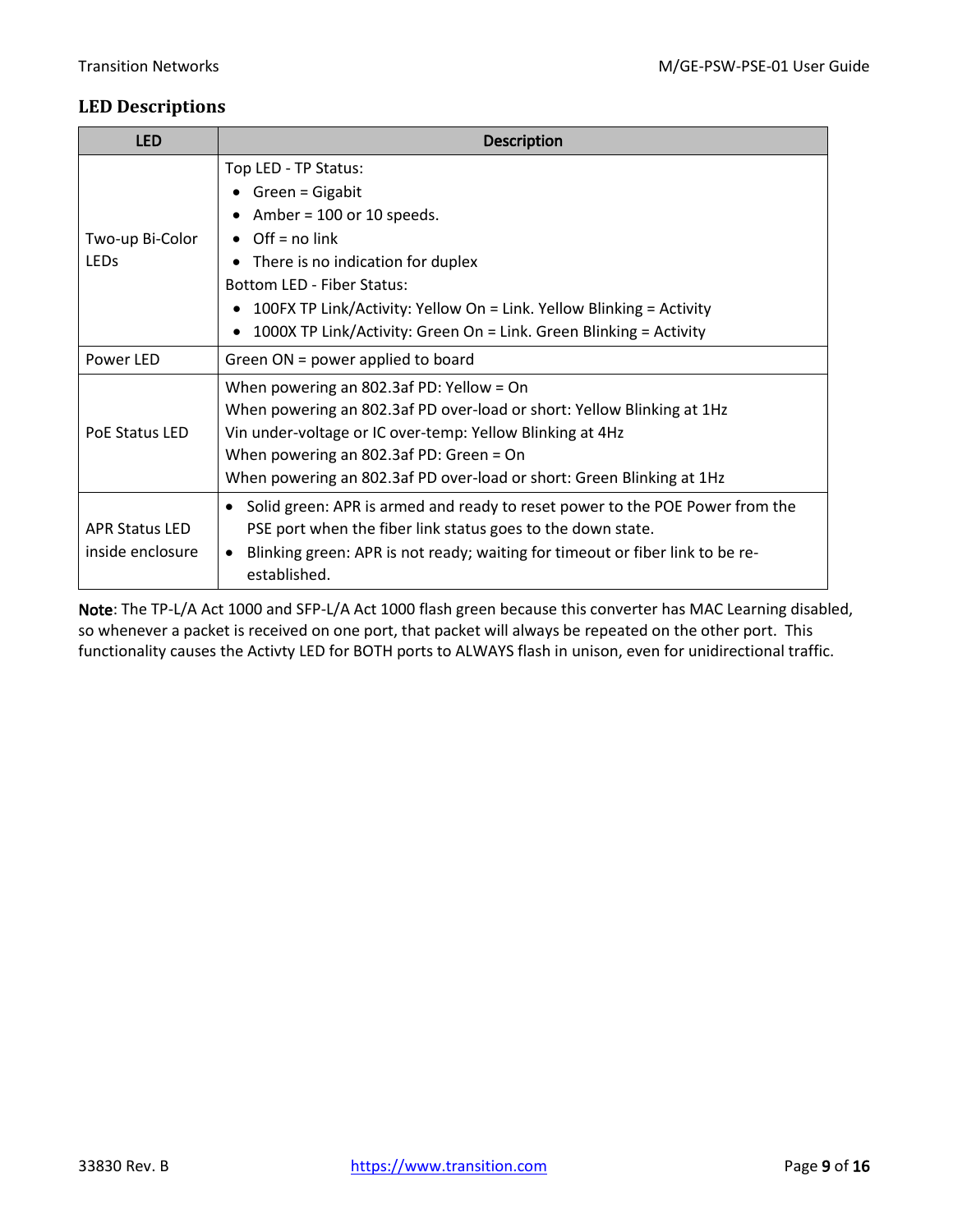## <span id="page-8-0"></span>**LED Descriptions**

| <b>LED</b>                                | <b>Description</b>                                                                                                                                                                                                                                                                                                |
|-------------------------------------------|-------------------------------------------------------------------------------------------------------------------------------------------------------------------------------------------------------------------------------------------------------------------------------------------------------------------|
| Two-up Bi-Color<br><b>LEDs</b>            | Top LED - TP Status:<br>Green = Gigabit<br>Amber = $100$ or 10 speeds.<br>$Off = no link$<br>There is no indication for duplex<br><b>Bottom LED - Fiber Status:</b><br>100FX TP Link/Activity: Yellow On = Link. Yellow Blinking = Activity<br>1000X TP Link/Activity: Green On = Link. Green Blinking = Activity |
| Power LED                                 | Green ON = power applied to board                                                                                                                                                                                                                                                                                 |
| <b>PoE Status LED</b>                     | When powering an 802.3af PD: Yellow = On<br>When powering an 802.3af PD over-load or short: Yellow Blinking at 1Hz<br>Vin under-voltage or IC over-temp: Yellow Blinking at 4Hz<br>When powering an 802.3 af PD: Green = On<br>When powering an 802.3af PD over-load or short: Green Blinking at 1Hz              |
| <b>APR Status LED</b><br>inside enclosure | Solid green: APR is armed and ready to reset power to the POE Power from the<br>PSE port when the fiber link status goes to the down state.<br>Blinking green: APR is not ready; waiting for timeout or fiber link to be re-<br>established.                                                                      |

Note: The TP-L/A Act 1000 and SFP-L/A Act 1000 flash green because this converter has MAC Learning disabled, so whenever a packet is received on one port, that packet will always be repeated on the other port. This functionality causes the Activty LED for BOTH ports to ALWAYS flash in unison, even for unidirectional traffic.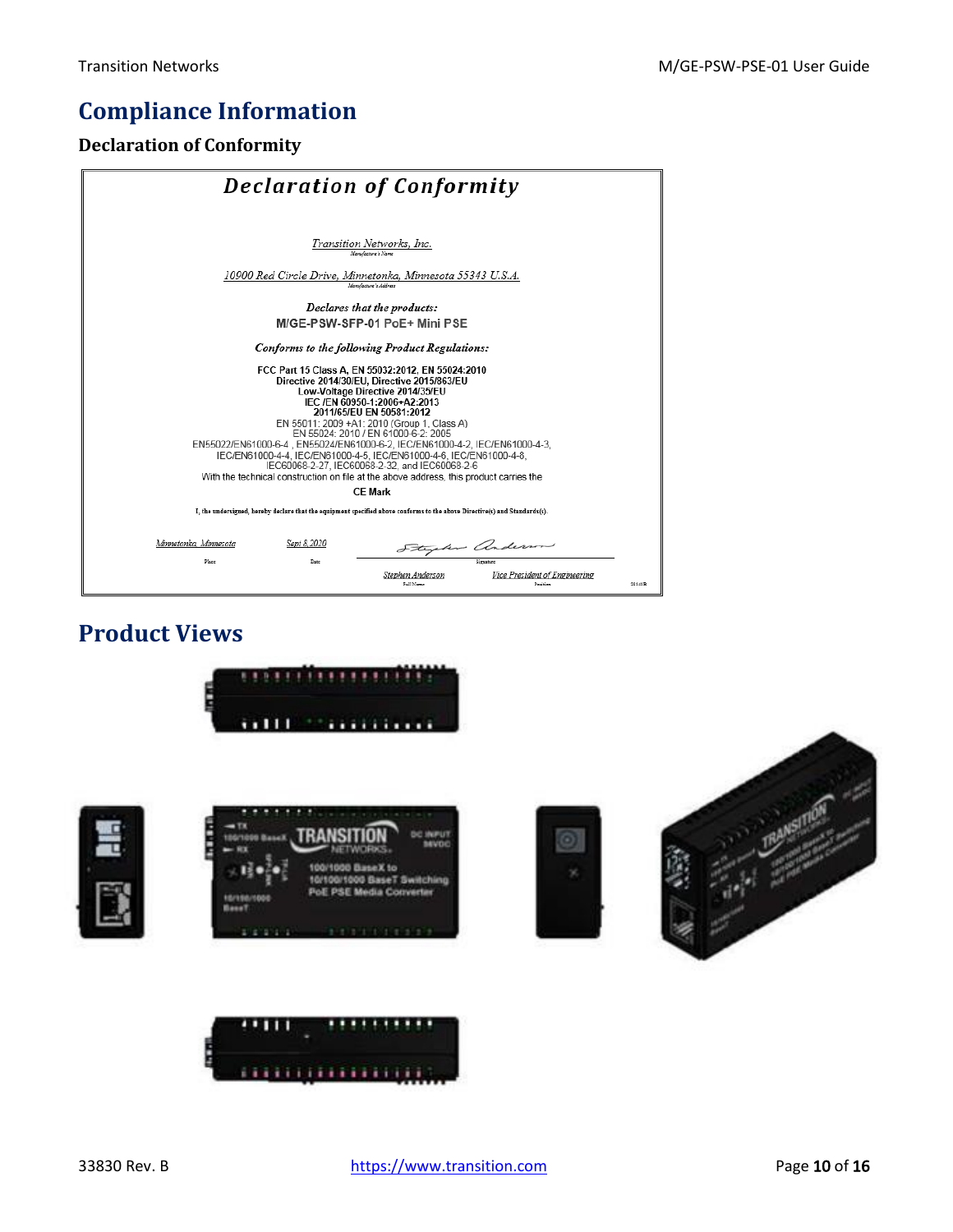## <span id="page-9-0"></span>**Compliance Information**

## <span id="page-9-1"></span>**Declaration of Conformity**

| <b>Declaration of Conformity</b>                                                                                                                                                                 |                                                                                                                            |  |  |  |  |  |  |
|--------------------------------------------------------------------------------------------------------------------------------------------------------------------------------------------------|----------------------------------------------------------------------------------------------------------------------------|--|--|--|--|--|--|
|                                                                                                                                                                                                  | Transition Networks, Inc.                                                                                                  |  |  |  |  |  |  |
| Manufacture's Name                                                                                                                                                                               |                                                                                                                            |  |  |  |  |  |  |
| 10900 Red Circle Drive, Minnetonka, Minnesota 55343 U.S.A.<br>Manufacture's Address                                                                                                              |                                                                                                                            |  |  |  |  |  |  |
| Declares that the products:                                                                                                                                                                      |                                                                                                                            |  |  |  |  |  |  |
|                                                                                                                                                                                                  | M/GE-PSW-SFP-01 PoE+ Mini PSE                                                                                              |  |  |  |  |  |  |
| <b>Conforms to the following Product Regulations:</b>                                                                                                                                            |                                                                                                                            |  |  |  |  |  |  |
| FCC Part 15 Class A, EN 55032:2012, EN 55024:2010<br>Directive 2014/30/EU, Directive 2015/863/EU<br>Low-Voltage Directive 2014/35/EU<br>IEC /EN 60950-1:2006+A2:2013<br>2011/65/EU EN 50581:2012 |                                                                                                                            |  |  |  |  |  |  |
| EN 55011: 2009 +A1: 2010 (Group 1, Class A)<br>EN 55024: 2010 / EN 61000-6-2: 2005<br>EN55022/EN61000-6-4, EN55024/EN61000-6-2, IEC/EN61000-4-2, IEC/EN61000-4-3,                                |                                                                                                                            |  |  |  |  |  |  |
|                                                                                                                                                                                                  | IEC/EN61000-4-4, IEC/EN61000-4-5, IEC/EN61000-4-6, IEC/EN61000-4-8,<br>IEC60068-2-27, IEC60068-2-32, and IEC60068-2-6      |  |  |  |  |  |  |
|                                                                                                                                                                                                  | With the technical construction on file at the above address, this product carries the                                     |  |  |  |  |  |  |
|                                                                                                                                                                                                  | <b>CE Mark</b>                                                                                                             |  |  |  |  |  |  |
|                                                                                                                                                                                                  | I, the undersigned, hereby declare that the equipment specified above conforms to the above Directive(s) and Standards(s). |  |  |  |  |  |  |
|                                                                                                                                                                                                  |                                                                                                                            |  |  |  |  |  |  |
| Minnetonka, Minnesota<br>Sept 8,2020                                                                                                                                                             | Stephen anderson                                                                                                           |  |  |  |  |  |  |
| Place<br>Date                                                                                                                                                                                    |                                                                                                                            |  |  |  |  |  |  |
|                                                                                                                                                                                                  | Vice President of Engineering<br>Stephen Anderson<br>Foll Name<br>28141B<br>Desition                                       |  |  |  |  |  |  |

## <span id="page-9-2"></span>**Product Views**





|      | <b>ETWORKS</b>                                                                     | MVDC |
|------|------------------------------------------------------------------------------------|------|
| asa? | 100/1000 BaseX to<br>10/100/1000 BaseT Switching<br><b>PoE PSE Media Converter</b> |      |





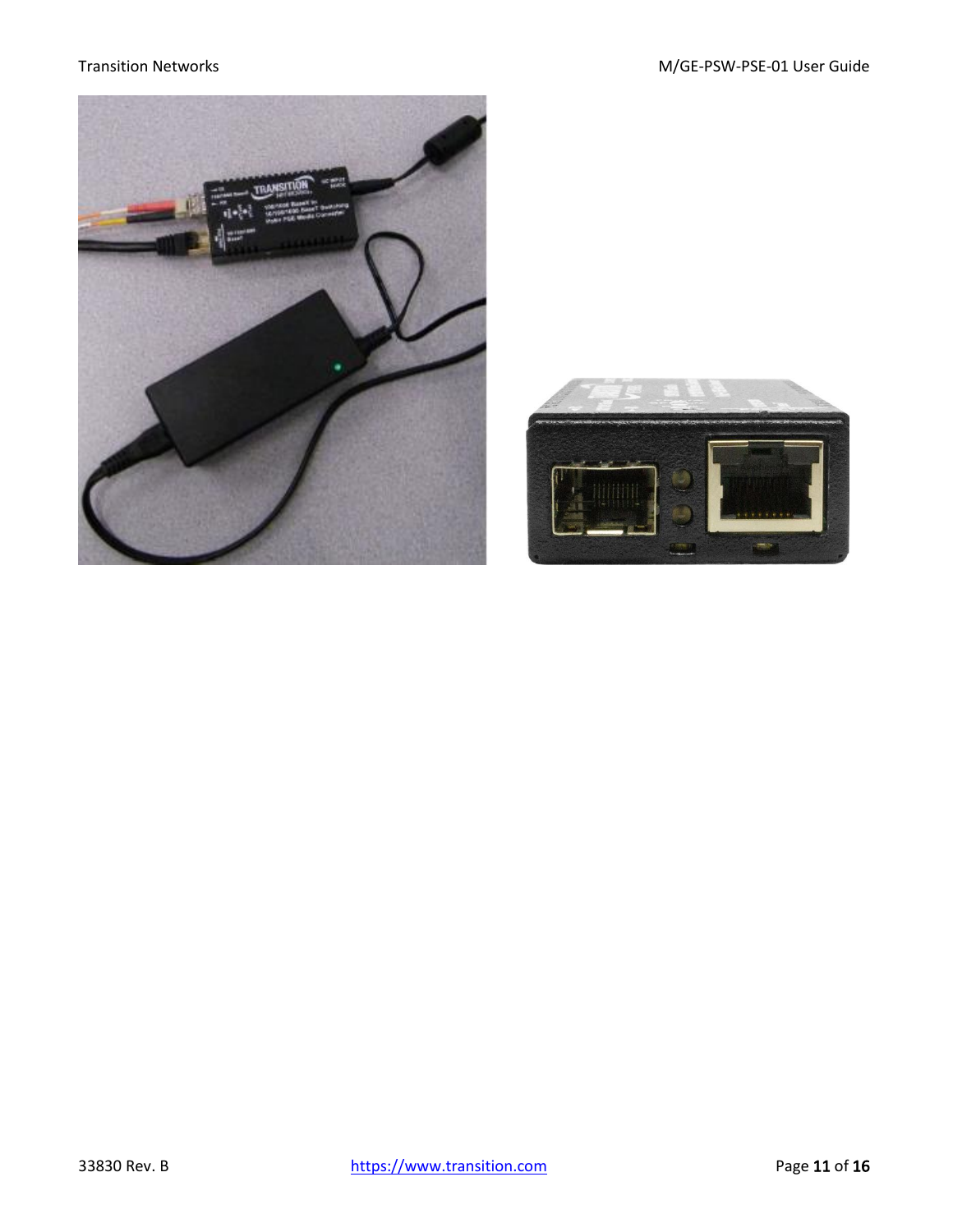

<span id="page-10-0"></span>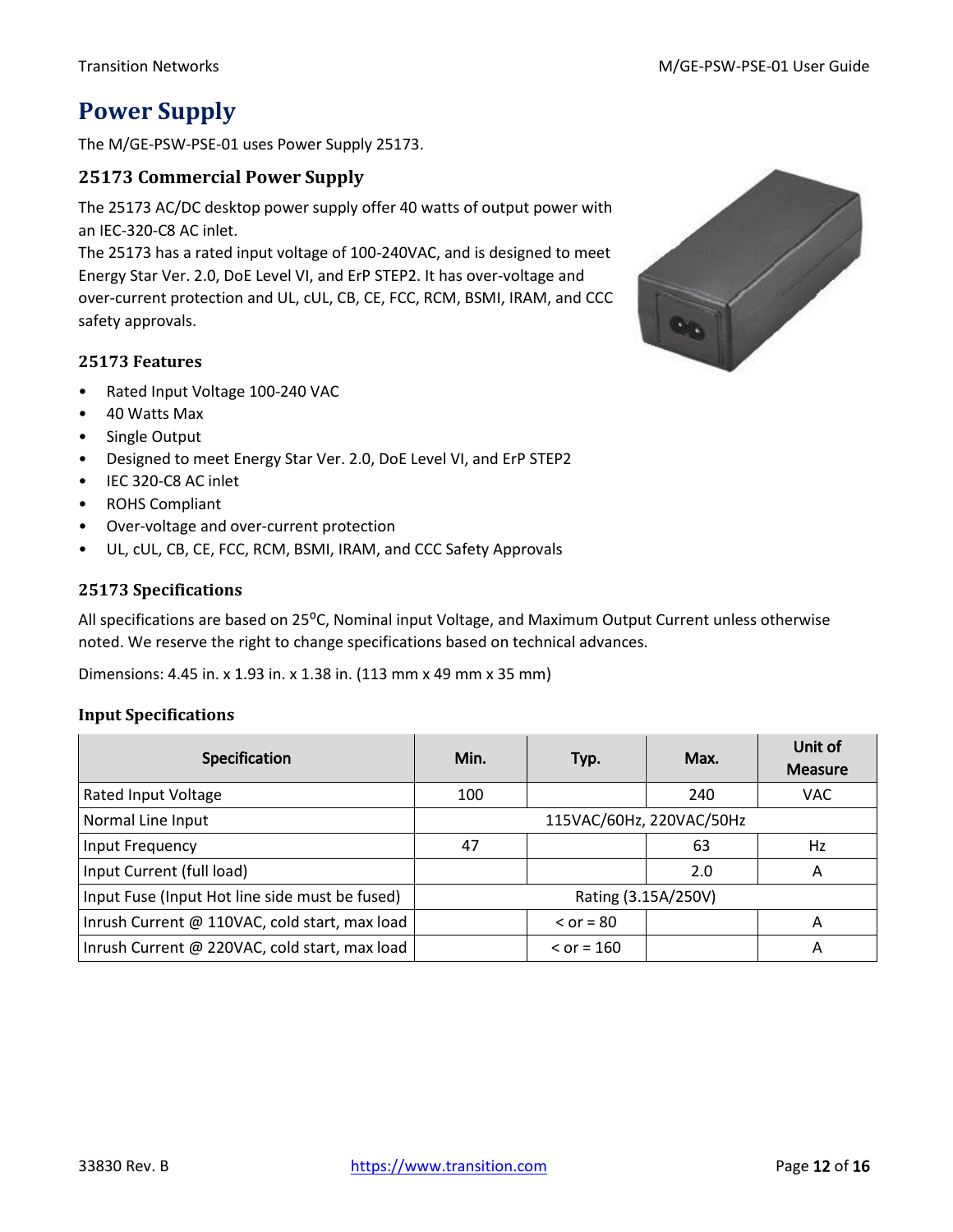## <span id="page-11-0"></span>**Power Supply**

The M/GE-PSW-PSE-01 uses Power Supply 25173.

#### <span id="page-11-1"></span>**25173 Commercial Power Supply**

The 25173 AC/DC desktop power supply offer 40 watts of output power with an IEC-320-C8 AC inlet.

The 25173 has a rated input voltage of 100-240VAC, and is designed to meet Energy Star Ver. 2.0, DoE Level VI, and ErP STEP2. It has over-voltage and over-current protection and UL, cUL, CB, CE, FCC, RCM, BSMI, IRAM, and CCC safety approvals.

#### <span id="page-11-2"></span>**25173 Features**

- Rated Input Voltage 100-240 VAC
- 40 Watts Max
- Single Output
- Designed to meet Energy Star Ver. 2.0, DoE Level VI, and ErP STEP2
- IEC 320-C8 AC inlet
- ROHS Compliant
- Over-voltage and over-current protection
- UL, cUL, CB, CE, FCC, RCM, BSMI, IRAM, and CCC Safety Approvals

#### <span id="page-11-3"></span>**25173 Specifications**

All specifications are based on 25<sup>o</sup>C, Nominal input Voltage, and Maximum Output Current unless otherwise noted. We reserve the right to change specifications based on technical advances.

Dimensions: 4.45 in. x 1.93 in. x 1.38 in. (113 mm x 49 mm x 35 mm)

#### **Input Specifications**

| Specification                                                         | Min. | Typ.                | Max.                     | Unit of<br><b>Measure</b> |
|-----------------------------------------------------------------------|------|---------------------|--------------------------|---------------------------|
| Rated Input Voltage                                                   | 100  |                     | 240                      | VAC.                      |
| Normal Line Input                                                     |      |                     | 115VAC/60Hz, 220VAC/50Hz |                           |
| Input Frequency                                                       | 47   |                     | 63                       | Hz                        |
| Input Current (full load)                                             |      |                     | 2.0                      | A                         |
| Input Fuse (Input Hot line side must be fused)<br>Rating (3.15A/250V) |      |                     |                          |                           |
| Inrush Current @ 110VAC, cold start, max load                         |      | $\epsilon$ or = 80  |                          | A                         |
| Inrush Current @ 220VAC, cold start, max load                         |      | $\epsilon$ or = 160 |                          | A                         |

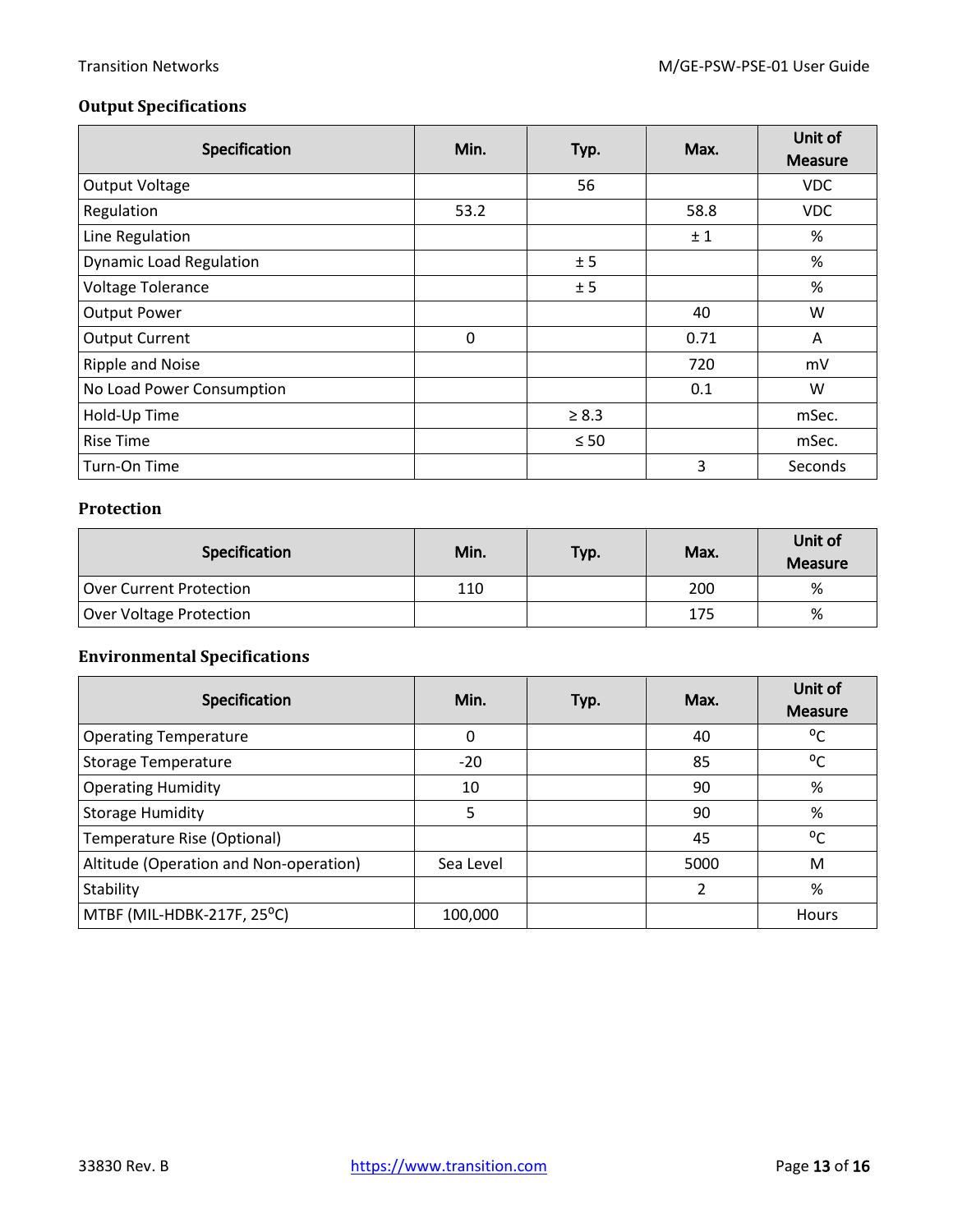## **Output Specifications**

| Specification                  | Min. | Typ.       | Max. | Unit of        |
|--------------------------------|------|------------|------|----------------|
|                                |      |            |      | <b>Measure</b> |
| Output Voltage                 |      | 56         |      | <b>VDC</b>     |
| Regulation                     | 53.2 |            | 58.8 | <b>VDC</b>     |
| Line Regulation                |      |            | ±1   | %              |
| <b>Dynamic Load Regulation</b> |      | ± 5        |      | $\%$           |
| Voltage Tolerance              |      | ± 5        |      | %              |
| <b>Output Power</b>            |      |            | 40   | W              |
| <b>Output Current</b>          | 0    |            | 0.71 | A              |
| Ripple and Noise               |      |            | 720  | mV             |
| No Load Power Consumption      |      |            | 0.1  | W              |
| Hold-Up Time                   |      | $\geq 8.3$ |      | mSec.          |
| <b>Rise Time</b>               |      | $\leq 50$  |      | mSec.          |
| Turn-On Time                   |      |            | 3    | Seconds        |

## **Protection**

| Specification                  | Min. | Typ. | Max. | Unit of<br><b>Measure</b> |
|--------------------------------|------|------|------|---------------------------|
| <b>Over Current Protection</b> | 110  |      | 200  | %                         |
| Over Voltage Protection        |      |      | 175  | %                         |

## **Environmental Specifications**

| Specification                          | Min.      | Typ. | Max. | Unit of<br><b>Measure</b> |
|----------------------------------------|-----------|------|------|---------------------------|
| <b>Operating Temperature</b>           | 0         |      | 40   | $^{\circ}$                |
| <b>Storage Temperature</b>             | $-20$     |      | 85   | $^{\circ}$ C              |
| <b>Operating Humidity</b>              | 10        |      | 90   | %                         |
| <b>Storage Humidity</b>                | 5         |      | 90   | %                         |
| Temperature Rise (Optional)            |           |      | 45   | $^{\circ}$ C              |
| Altitude (Operation and Non-operation) | Sea Level |      | 5000 | M                         |
| Stability                              |           |      | 2    | %                         |
| MTBF (MIL-HDBK-217F, 25°C)             | 100,000   |      |      | Hours                     |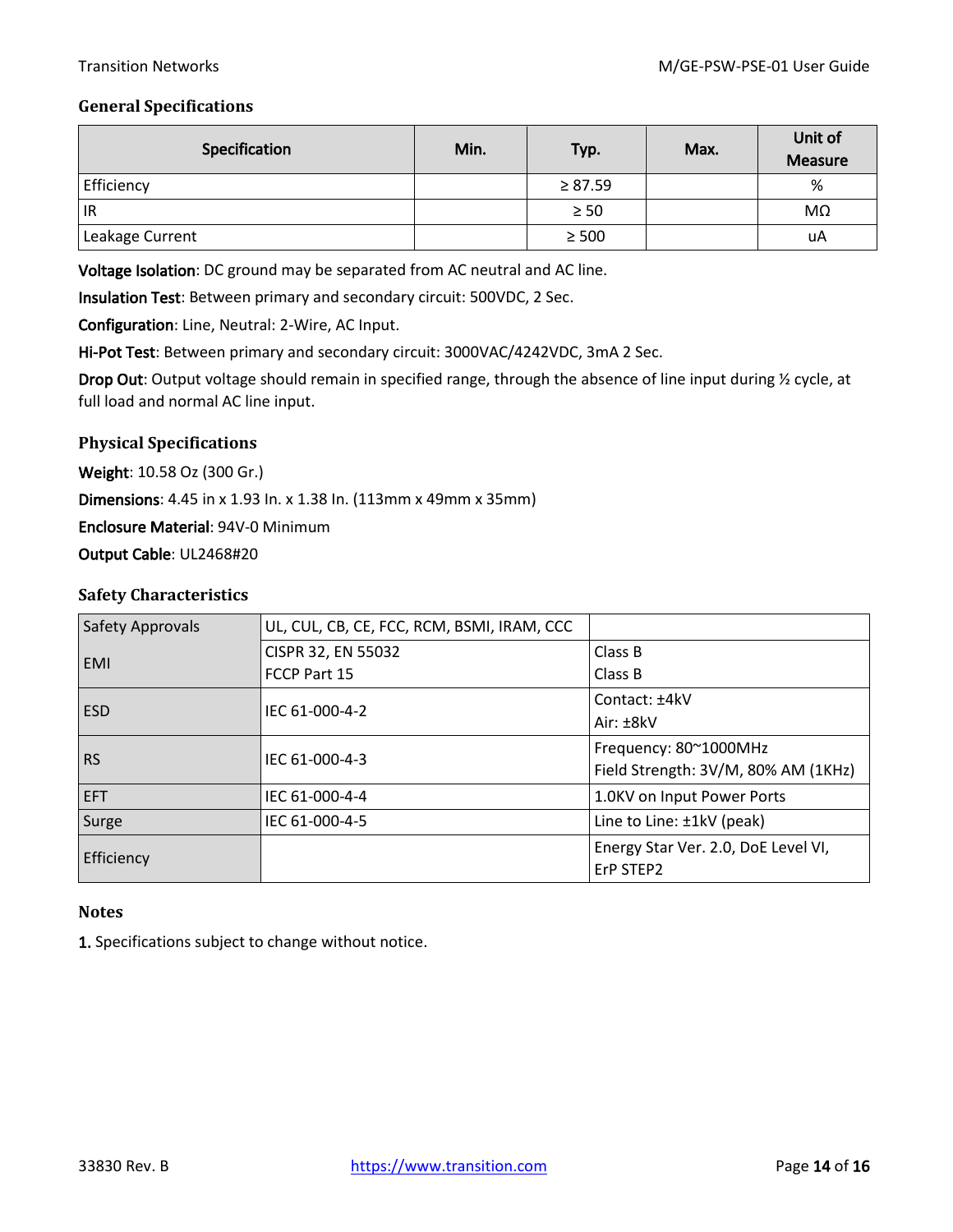#### **General Specifications**

| Specification   | Min. | Typ.         | Max. | Unit of<br><b>Measure</b> |
|-----------------|------|--------------|------|---------------------------|
| Efficiency      |      | $\geq 87.59$ |      | %                         |
| IR              |      | $\geq 50$    |      | $M\Omega$                 |
| Leakage Current |      | $\geq 500$   |      | uA                        |

Voltage Isolation: DC ground may be separated from AC neutral and AC line.

Insulation Test: Between primary and secondary circuit: 500VDC, 2 Sec.

Configuration: Line, Neutral: 2-Wire, AC Input.

Hi-Pot Test: Between primary and secondary circuit: 3000VAC/4242VDC, 3mA 2 Sec.

Drop Out: Output voltage should remain in specified range, through the absence of line input during 1/2 cycle, at full load and normal AC line input.

#### **Physical Specifications**

Weight: 10.58 Oz (300 Gr.)

Dimensions: 4.45 in x 1.93 In. x 1.38 In. (113mm x 49mm x 35mm)

Enclosure Material: 94V-0 Minimum

Output Cable: UL2468#20

#### **Safety Characteristics**

| Safety Approvals | UL, CUL, CB, CE, FCC, RCM, BSMI, IRAM, CCC |                                     |  |
|------------------|--------------------------------------------|-------------------------------------|--|
| EMI              | CISPR 32, EN 55032                         | Class B                             |  |
|                  | FCCP Part 15                               | Class B                             |  |
| <b>ESD</b>       | IEC 61-000-4-2                             | Contact: ±4kV                       |  |
|                  |                                            | Air: ±8kV                           |  |
| <b>RS</b>        | IEC 61-000-4-3                             | Frequency: 80~1000MHz               |  |
|                  |                                            | Field Strength: 3V/M, 80% AM (1KHz) |  |
| <b>EFT</b>       | IEC 61-000-4-4                             | 1.0KV on Input Power Ports          |  |
| Surge            | IEC 61-000-4-5                             | Line to Line: ±1kV (peak)           |  |
| Efficiency       |                                            | Energy Star Ver. 2.0, DoE Level VI, |  |
|                  |                                            | ErP STEP2                           |  |

#### **Notes**

<span id="page-13-0"></span>1. Specifications subject to change without notice.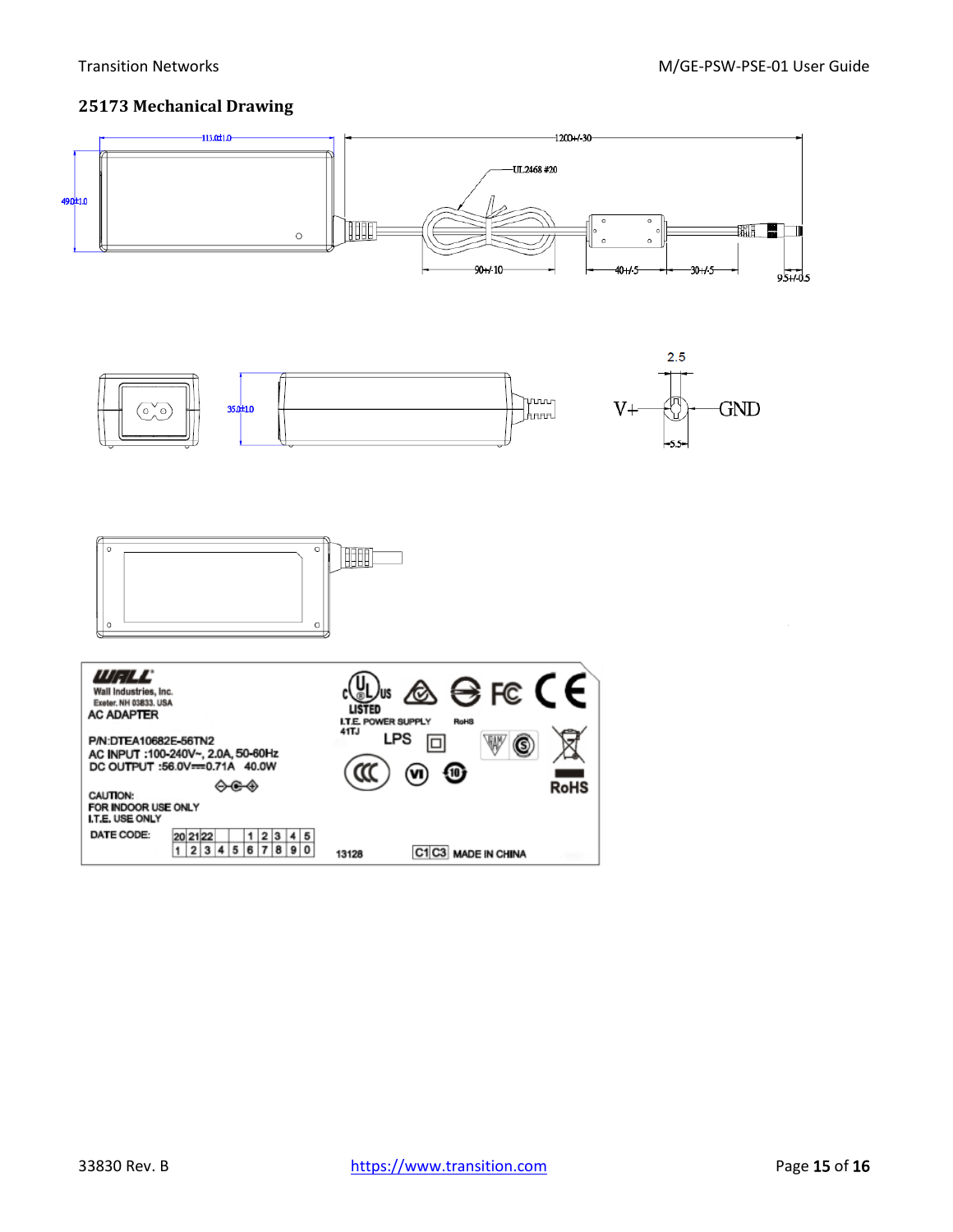#### **25173 Mechanical Drawing**

<span id="page-14-0"></span>